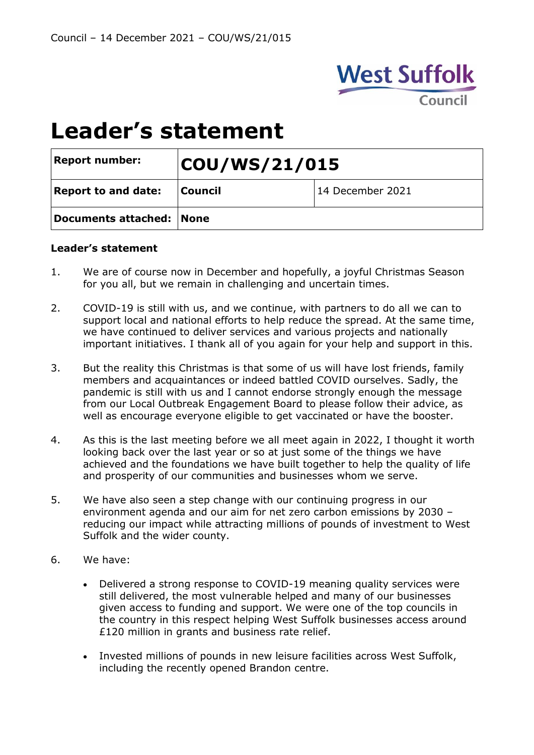

# **Leader's statement**

| <b>Report number:</b>      | COU/WS/21/015  |                  |
|----------------------------|----------------|------------------|
| <b>Report to and date:</b> | <b>Council</b> | 14 December 2021 |
| Documents attached: None   |                |                  |

#### **Leader's statement**

- 1. We are of course now in December and hopefully, a joyful Christmas Season for you all, but we remain in challenging and uncertain times.
- 2. COVID-19 is still with us, and we continue, with partners to do all we can to support local and national efforts to help reduce the spread. At the same time, we have continued to deliver services and various projects and nationally important initiatives. I thank all of you again for your help and support in this.
- 3. But the reality this Christmas is that some of us will have lost friends, family members and acquaintances or indeed battled COVID ourselves. Sadly, the pandemic is still with us and I cannot endorse strongly enough the message from our Local Outbreak Engagement Board to please follow their advice, as well as encourage everyone eligible to get vaccinated or have the booster.
- 4. As this is the last meeting before we all meet again in 2022, I thought it worth looking back over the last year or so at just some of the things we have achieved and the foundations we have built together to help the quality of life and prosperity of our communities and businesses whom we serve.
- 5. We have also seen a step change with our continuing progress in our environment agenda and our aim for net zero carbon emissions by 2030 – reducing our impact while attracting millions of pounds of investment to West Suffolk and the wider county.
- 6. We have:
	- Delivered a strong response to COVID-19 meaning quality services were still delivered, the most vulnerable helped and many of our businesses given access to funding and support. We were one of the top councils in the country in this respect helping West Suffolk businesses access around £120 million in grants and business rate relief.
	- Invested millions of pounds in new leisure facilities across West Suffolk, including the recently opened Brandon centre.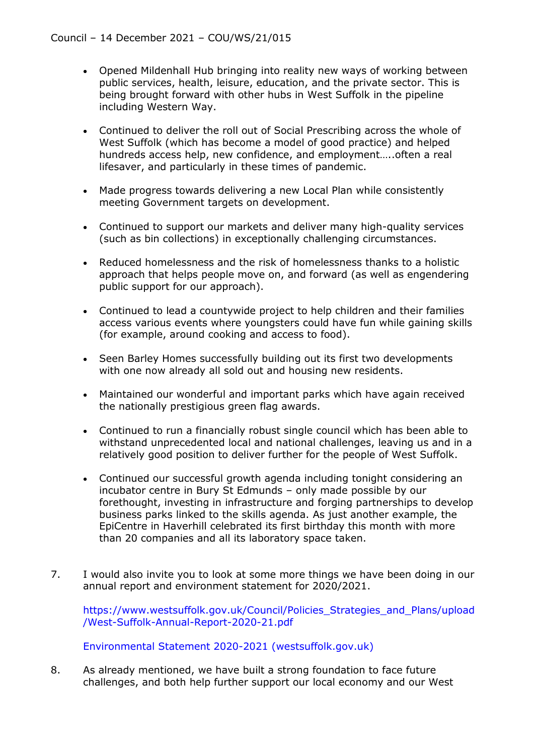- Opened Mildenhall Hub bringing into reality new ways of working between public services, health, leisure, education, and the private sector. This is being brought forward with other hubs in West Suffolk in the pipeline including Western Way.
- Continued to deliver the roll out of Social Prescribing across the whole of West Suffolk (which has become a model of good practice) and helped hundreds access help, new confidence, and employment.....often a real lifesaver, and particularly in these times of pandemic.
- Made progress towards delivering a new Local Plan while consistently meeting Government targets on development.
- Continued to support our markets and deliver many high-quality services (such as bin collections) in exceptionally challenging circumstances.
- Reduced homelessness and the risk of homelessness thanks to a holistic approach that helps people move on, and forward (as well as engendering public support for our approach).
- Continued to lead a countywide project to help children and their families access various events where youngsters could have fun while gaining skills (for example, around cooking and access to food).
- Seen Barley Homes successfully building out its first two developments with one now already all sold out and housing new residents.
- Maintained our wonderful and important parks which have again received the nationally prestigious green flag awards.
- Continued to run a financially robust single council which has been able to withstand unprecedented local and national challenges, leaving us and in a relatively good position to deliver further for the people of West Suffolk.
- Continued our successful growth agenda including tonight considering an incubator centre in Bury St Edmunds – only made possible by our forethought, investing in infrastructure and forging partnerships to develop business parks linked to the skills agenda. As just another example, the EpiCentre in Haverhill celebrated its first birthday this month with more than 20 companies and all its laboratory space taken.
- 7. I would also invite you to look at some more things we have been doing in our annual report and environment statement for 2020/2021.

[https://www.westsuffolk.gov.uk/Council/Policies\\_Strategies\\_and\\_Plans/upload](https://www.westsuffolk.gov.uk/Council/Policies_Strategies_and_Plans/upload/West-Suffolk-Annual-Report-2020-21.pdf#_blank) [/West-Suffolk-Annual-Report-2020-21.pdf](https://www.westsuffolk.gov.uk/Council/Policies_Strategies_and_Plans/upload/West-Suffolk-Annual-Report-2020-21.pdf#_blank)

[Environmental Statement 2020-2021 \(westsuffolk.gov.uk\)](https://www.westsuffolk.gov.uk/protecting-our-environment/upload/Environmental-Statement-2020-21.pdf#_blank)

8. As already mentioned, we have built a strong foundation to face future challenges, and both help further support our local economy and our West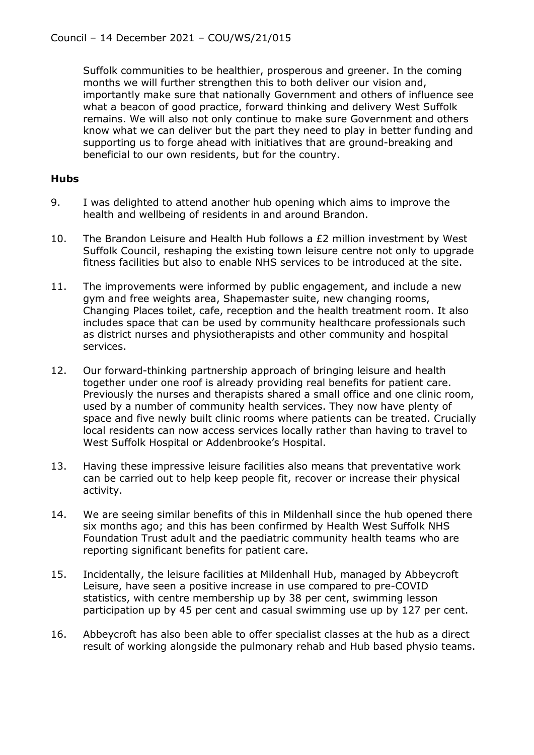Suffolk communities to be healthier, prosperous and greener. In the coming months we will further strengthen this to both deliver our vision and, importantly make sure that nationally Government and others of influence see what a beacon of good practice, forward thinking and delivery West Suffolk remains. We will also not only continue to make sure Government and others know what we can deliver but the part they need to play in better funding and supporting us to forge ahead with initiatives that are ground-breaking and beneficial to our own residents, but for the country.

## **Hubs**

- 9. I was delighted to attend another hub opening which aims to improve the health and wellbeing of residents in and around Brandon.
- 10. The Brandon Leisure and Health Hub follows a £2 million investment by West Suffolk Council, reshaping the existing town leisure centre not only to upgrade fitness facilities but also to enable NHS services to be introduced at the site.
- 11. The improvements were informed by public engagement, and include a new gym and free weights area, Shapemaster suite, new changing rooms, Changing Places toilet, cafe, reception and the health treatment room. It also includes space that can be used by community healthcare professionals such as district nurses and physiotherapists and other community and hospital services.
- 12. Our forward-thinking partnership approach of bringing leisure and health together under one roof is already providing real benefits for patient care. Previously the nurses and therapists shared a small office and one clinic room, used by a number of community health services. They now have plenty of space and five newly built clinic rooms where patients can be treated. Crucially local residents can now access services locally rather than having to travel to West Suffolk Hospital or Addenbrooke's Hospital.
- 13. Having these impressive leisure facilities also means that preventative work can be carried out to help keep people fit, recover or increase their physical activity.
- 14. We are seeing similar benefits of this in Mildenhall since the hub opened there six months ago; and this has been confirmed by Health West Suffolk NHS Foundation Trust adult and the paediatric community health teams who are reporting significant benefits for patient care.
- 15. Incidentally, the leisure facilities at Mildenhall Hub, managed by Abbeycroft Leisure, have seen a positive increase in use compared to pre-COVID statistics, with centre membership up by 38 per cent, swimming lesson participation up by 45 per cent and casual swimming use up by 127 per cent.
- 16. Abbeycroft has also been able to offer specialist classes at the hub as a direct result of working alongside the pulmonary rehab and Hub based physio teams.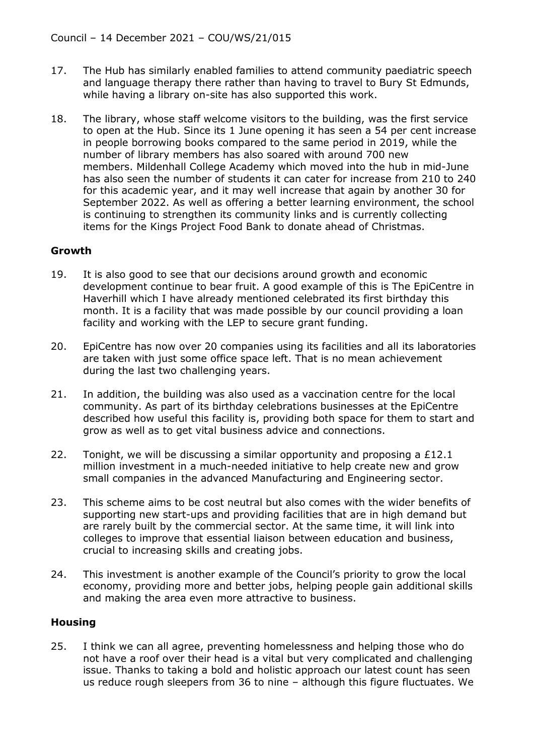- 17. The Hub has similarly enabled families to attend community paediatric speech and language therapy there rather than having to travel to Bury St Edmunds, while having a library on-site has also supported this work.
- 18. The library, whose staff welcome visitors to the building, was the first service to open at the Hub. Since its 1 June opening it has seen a 54 per cent increase in people borrowing books compared to the same period in 2019, while the number of library members has also soared with around 700 new members. Mildenhall College Academy which moved into the hub in mid-June has also seen the number of students it can cater for increase from 210 to 240 for this academic year, and it may well increase that again by another 30 for September 2022. As well as offering a better learning environment, the school is continuing to strengthen its community links and is currently collecting items for the Kings Project Food Bank to donate ahead of Christmas.

## **Growth**

- 19. It is also good to see that our decisions around growth and economic development continue to bear fruit. A good example of this is The EpiCentre in Haverhill which I have already mentioned celebrated its first birthday this month. It is a facility that was made possible by our council providing a loan facility and working with the LEP to secure grant funding.
- 20. EpiCentre has now over 20 companies using its facilities and all its laboratories are taken with just some office space left. That is no mean achievement during the last two challenging years.
- 21. In addition, the building was also used as a vaccination centre for the local community. As part of its birthday celebrations businesses at the EpiCentre described how useful this facility is, providing both space for them to start and grow as well as to get vital business advice and connections.
- 22. Tonight, we will be discussing a similar opportunity and proposing a £12.1 million investment in a much-needed initiative to help create new and grow small companies in the advanced Manufacturing and Engineering sector.
- 23. This scheme aims to be cost neutral but also comes with the wider benefits of supporting new start-ups and providing facilities that are in high demand but are rarely built by the commercial sector. At the same time, it will link into colleges to improve that essential liaison between education and business, crucial to increasing skills and creating jobs.
- 24. This investment is another example of the Council's priority to grow the local economy, providing more and better jobs, helping people gain additional skills and making the area even more attractive to business.

## **Housing**

25. I think we can all agree, preventing homelessness and helping those who do not have a roof over their head is a vital but very complicated and challenging issue. Thanks to taking a bold and holistic approach our latest count has seen us reduce rough sleepers from 36 to nine – although this figure fluctuates. We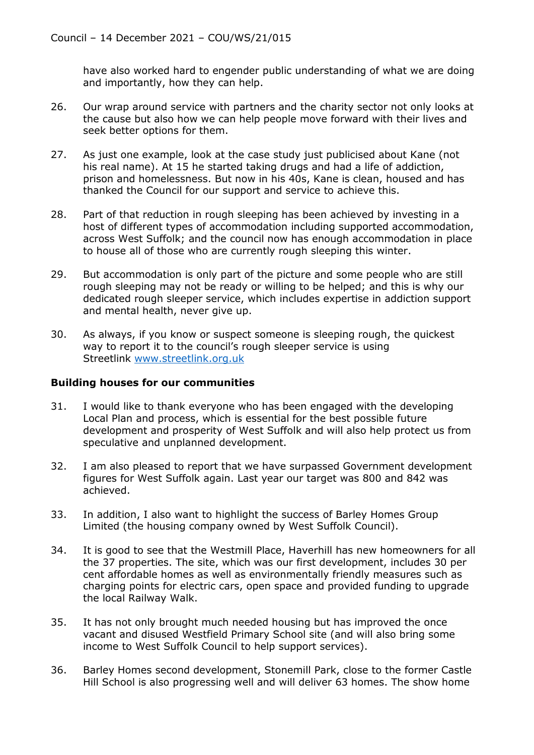have also worked hard to engender public understanding of what we are doing and importantly, how they can help.

- 26. Our wrap around service with partners and the charity sector not only looks at the cause but also how we can help people move forward with their lives and seek better options for them.
- 27. As just one example, look at the case study just publicised about Kane (not his real name). At 15 he started taking drugs and had a life of addiction, prison and homelessness. But now in his 40s, Kane is clean, housed and has thanked the Council for our support and service to achieve this.
- 28. Part of that reduction in rough sleeping has been achieved by investing in a host of different types of accommodation including supported accommodation, across West Suffolk; and the council now has enough accommodation in place to house all of those who are currently rough sleeping this winter.
- 29. But accommodation is only part of the picture and some people who are still rough sleeping may not be ready or willing to be helped; and this is why our dedicated rough sleeper service, which includes expertise in addiction support and mental health, never give up.
- 30. As always, if you know or suspect someone is sleeping rough, the quickest way to report it to the council's rough sleeper service is using Streetlink [www.streetlink.org.uk](http://www.streetlink.org.uk/#_blank)

## **Building houses for our communities**

- 31. I would like to thank everyone who has been engaged with the developing Local Plan and process, which is essential for the best possible future development and prosperity of West Suffolk and will also help protect us from speculative and unplanned development.
- 32. I am also pleased to report that we have surpassed Government development figures for West Suffolk again. Last year our target was 800 and 842 was achieved.
- 33. In addition, I also want to highlight the success of Barley Homes Group Limited (the housing company owned by West Suffolk Council).
- 34. It is good to see that the Westmill Place, Haverhill has new homeowners for all the 37 properties. The site, which was our first development, includes 30 per cent affordable homes as well as environmentally friendly measures such as charging points for electric cars, open space and provided funding to upgrade the local Railway Walk.
- 35. It has not only brought much needed housing but has improved the once vacant and disused Westfield Primary School site (and will also bring some income to West Suffolk Council to help support services).
- 36. Barley Homes second development, Stonemill Park, close to the former Castle Hill School is also progressing well and will deliver 63 homes. The show home